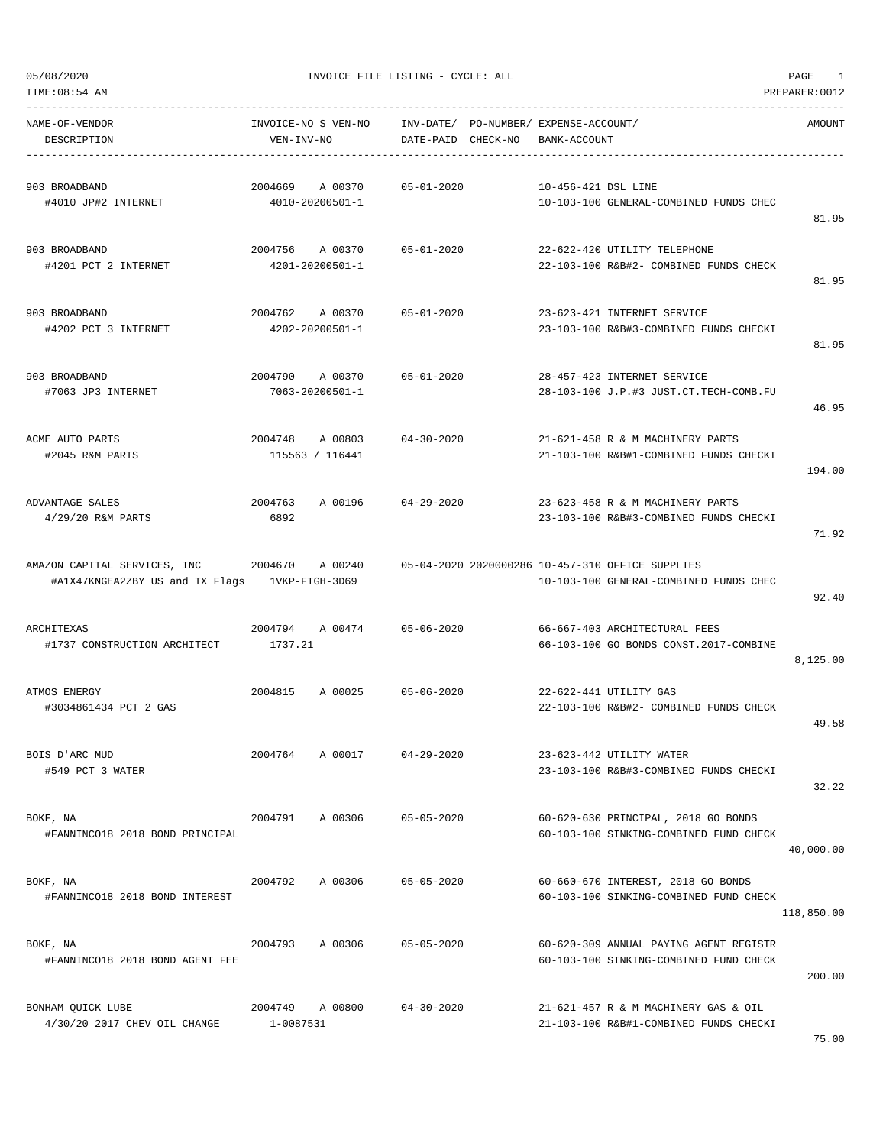| TIME: 08:54 AM<br>PREPARER: 0012                                |                                       |                                    |                                                                                            |            |
|-----------------------------------------------------------------|---------------------------------------|------------------------------------|--------------------------------------------------------------------------------------------|------------|
| NAME-OF-VENDOR<br>DESCRIPTION                                   | INVOICE-NO S VEN-NO<br>VEN-INV-NO     | INV-DATE/<br>CHECK-NO<br>DATE-PAID | PO-NUMBER/ EXPENSE-ACCOUNT/<br>BANK-ACCOUNT                                                | AMOUNT     |
| 903 BROADBAND<br>#4010 JP#2 INTERNET                            | 2004669<br>A 00370<br>4010-20200501-1 | $05 - 01 - 2020$                   | 10-456-421 DSL LINE<br>10-103-100 GENERAL-COMBINED FUNDS CHEC                              | 81.95      |
| 903 BROADBAND<br>#4201 PCT 2 INTERNET                           | 2004756<br>A 00370<br>4201-20200501-1 | $05 - 01 - 2020$                   | 22-622-420 UTILITY TELEPHONE<br>22-103-100 R&B#2- COMBINED FUNDS CHECK                     | 81.95      |
| 903 BROADBAND<br>#4202 PCT 3 INTERNET                           | 2004762<br>A 00370<br>4202-20200501-1 | $05 - 01 - 2020$                   | 23-623-421 INTERNET SERVICE<br>23-103-100 R&B#3-COMBINED FUNDS CHECKI                      | 81.95      |
| 903 BROADBAND<br>#7063 JP3 INTERNET                             | 2004790<br>A 00370<br>7063-20200501-1 | $05 - 01 - 2020$                   | 28-457-423 INTERNET SERVICE<br>28-103-100 J.P.#3 JUST.CT.TECH-COMB.FU                      | 46.95      |
| ACME AUTO PARTS<br>#2045 R&M PARTS                              | 2004748<br>A 00803<br>115563 / 116441 | $04 - 30 - 2020$                   | 21-621-458 R & M MACHINERY PARTS<br>21-103-100 R&B#1-COMBINED FUNDS CHECKI                 | 194.00     |
| ADVANTAGE SALES<br>4/29/20 R&M PARTS                            | 2004763<br>A 00196<br>6892            | $04 - 29 - 2020$                   | 23-623-458 R & M MACHINERY PARTS<br>23-103-100 R&B#3-COMBINED FUNDS CHECKI                 | 71.92      |
| AMAZON CAPITAL SERVICES, INC<br>#A1X47KNGEA2ZBY US and TX Flags | 2004670<br>A 00240<br>1VKP-FTGH-3D69  |                                    | 05-04-2020 2020000286 10-457-310 OFFICE SUPPLIES<br>10-103-100 GENERAL-COMBINED FUNDS CHEC | 92.40      |
| ARCHITEXAS<br>#1737 CONSTRUCTION ARCHITECT                      | 2004794 A 00474<br>1737.21            | $05 - 06 - 2020$                   | 66-667-403 ARCHITECTURAL FEES<br>66-103-100 GO BONDS CONST.2017-COMBINE                    | 8,125.00   |
| ATMOS ENERGY<br>#3034861434 PCT 2 GAS                           | 2004815<br>A 00025                    | $05 - 06 - 2020$                   | 22-622-441 UTILITY GAS<br>22-103-100 R&B#2- COMBINED FUNDS CHECK                           | 49.58      |
| BOIS D'ARC MUD<br>#549 PCT 3 WATER                              | 2004764<br>A 00017                    | $04 - 29 - 2020$                   | 23-623-442 UTILITY WATER<br>23-103-100 R&B#3-COMBINED FUNDS CHECKI                         | 32.22      |
| BOKF, NA<br>#FANNINCO18 2018 BOND PRINCIPAL                     | 2004791<br>A 00306                    | $05 - 05 - 2020$                   | 60-620-630 PRINCIPAL, 2018 GO BONDS<br>60-103-100 SINKING-COMBINED FUND CHECK              | 40,000.00  |
| BOKF, NA<br>#FANNINCO18 2018 BOND INTEREST                      | 2004792<br>A 00306                    | $05 - 05 - 2020$                   | 60-660-670 INTEREST, 2018 GO BONDS<br>60-103-100 SINKING-COMBINED FUND CHECK               | 118,850.00 |
| BOKF, NA<br>#FANNINCO18 2018 BOND AGENT FEE                     | 2004793<br>A 00306                    | $05 - 05 - 2020$                   | 60-620-309 ANNUAL PAYING AGENT REGISTR<br>60-103-100 SINKING-COMBINED FUND CHECK           | 200.00     |
| BONHAM QUICK LUBE<br>4/30/20 2017 CHEV OIL CHANGE               | 2004749<br>A 00800<br>1-0087531       | $04 - 30 - 2020$                   | 21-621-457 R & M MACHINERY GAS & OIL<br>21-103-100 R&B#1-COMBINED FUNDS CHECKI             |            |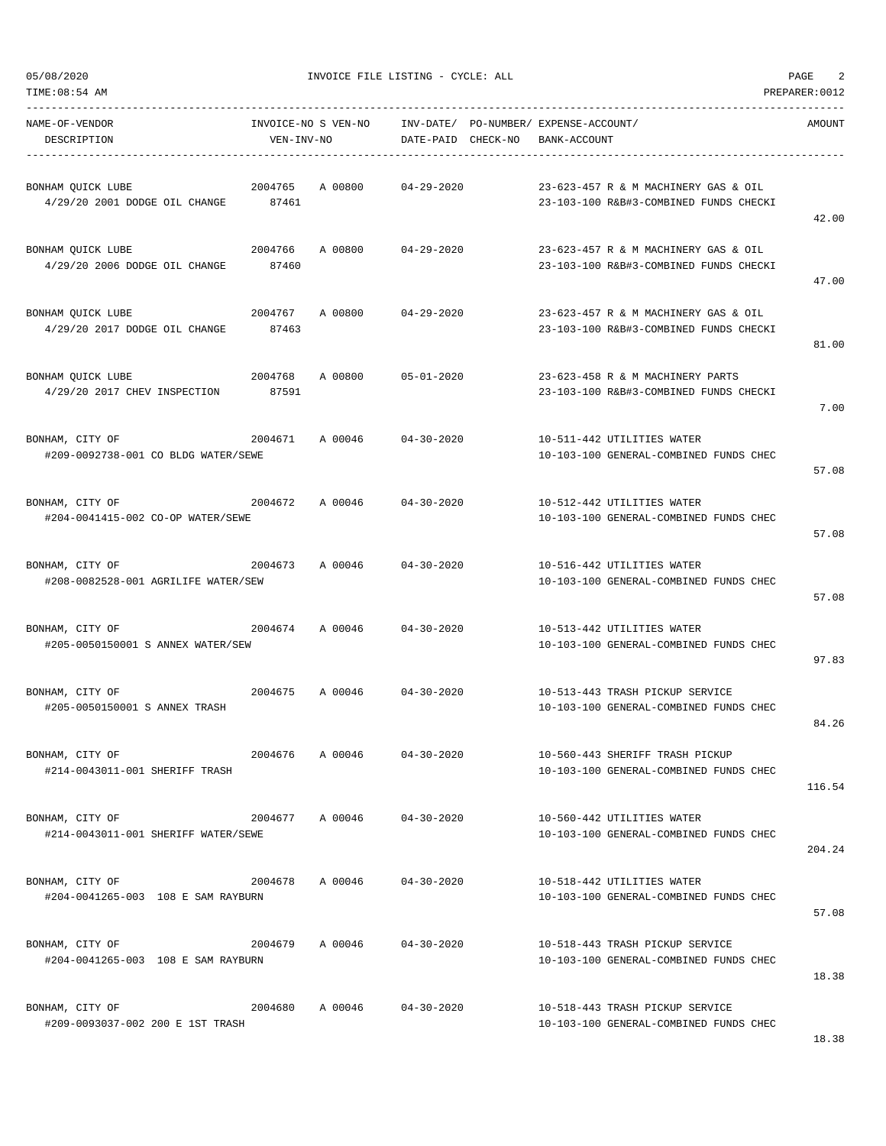| TIME:08:54 AM                                                     |                  |                     |                    |                                       |                                                                                | PREPARER: 0012 |
|-------------------------------------------------------------------|------------------|---------------------|--------------------|---------------------------------------|--------------------------------------------------------------------------------|----------------|
| NAME-OF-VENDOR                                                    |                  | INVOICE-NO S VEN-NO |                    | INV-DATE/ PO-NUMBER/ EXPENSE-ACCOUNT/ |                                                                                | AMOUNT         |
| DESCRIPTION                                                       | VEN-INV-NO       |                     | DATE-PAID CHECK-NO | BANK-ACCOUNT                          |                                                                                |                |
| BONHAM QUICK LUBE<br>4/29/20 2001 DODGE OIL CHANGE 87461          | 2004765          | A 00800             | $04 - 29 - 2020$   |                                       | 23-623-457 R & M MACHINERY GAS & OIL<br>23-103-100 R&B#3-COMBINED FUNDS CHECKI | 42.00          |
| BONHAM QUICK LUBE<br>4/29/20 2006 DODGE OIL CHANGE                | 2004766<br>87460 | A 00800             | 04-29-2020         |                                       | 23-623-457 R & M MACHINERY GAS & OIL<br>23-103-100 R&B#3-COMBINED FUNDS CHECKI | 47.00          |
| BONHAM QUICK LUBE<br>4/29/20 2017 DODGE OIL CHANGE 87463          | 2004767          | A 00800             | $04 - 29 - 2020$   |                                       | 23-623-457 R & M MACHINERY GAS & OIL<br>23-103-100 R&B#3-COMBINED FUNDS CHECKI | 81.00          |
| BONHAM QUICK LUBE<br>4/29/20 2017 CHEV INSPECTION                 | 2004768<br>87591 | A 00800             | $05 - 01 - 2020$   |                                       | 23-623-458 R & M MACHINERY PARTS<br>23-103-100 R&B#3-COMBINED FUNDS CHECKI     | 7.00           |
| 2004671<br>BONHAM, CITY OF<br>#209-0092738-001 CO BLDG WATER/SEWE |                  | A 00046             | $04 - 30 - 2020$   |                                       | 10-511-442 UTILITIES WATER<br>10-103-100 GENERAL-COMBINED FUNDS CHEC           | 57.08          |
| BONHAM, CITY OF<br>#204-0041415-002 CO-OP WATER/SEWE              | 2004672          | A 00046             | $04 - 30 - 2020$   |                                       | 10-512-442 UTILITIES WATER<br>10-103-100 GENERAL-COMBINED FUNDS CHEC           | 57.08          |
| BONHAM, CITY OF<br>#208-0082528-001 AGRILIFE WATER/SEW            | 2004673          | A 00046             | $04 - 30 - 2020$   |                                       | 10-516-442 UTILITIES WATER<br>10-103-100 GENERAL-COMBINED FUNDS CHEC           | 57.08          |
| BONHAM, CITY OF<br>2004674<br>#205-0050150001 S ANNEX WATER/SEW   |                  | A 00046             | $04 - 30 - 2020$   |                                       | 10-513-442 UTILITIES WATER<br>10-103-100 GENERAL-COMBINED FUNDS CHEC           | 97.83          |
| BONHAM, CITY OF<br>#205-0050150001 S ANNEX TRASH                  |                  | 2004675 A 00046     | $04 - 30 - 2020$   |                                       | 10-513-443 TRASH PICKUP SERVICE<br>10-103-100 GENERAL-COMBINED FUNDS CHEC      | 84.26          |
| BONHAM, CITY OF<br>#214-0043011-001 SHERIFF TRASH                 | 2004676          | A 00046             | $04 - 30 - 2020$   |                                       | 10-560-443 SHERIFF TRASH PICKUP<br>10-103-100 GENERAL-COMBINED FUNDS CHEC      | 116.54         |
| BONHAM, CITY OF<br>#214-0043011-001 SHERIFF WATER/SEWE            |                  | 2004677 A 00046     | $04 - 30 - 2020$   |                                       | 10-560-442 UTILITIES WATER<br>10-103-100 GENERAL-COMBINED FUNDS CHEC           | 204.24         |
| BONHAM, CITY OF<br>2004678<br>#204-0041265-003 108 E SAM RAYBURN  |                  | A 00046             | $04 - 30 - 2020$   |                                       | 10-518-442 UTILITIES WATER<br>10-103-100 GENERAL-COMBINED FUNDS CHEC           | 57.08          |
| BONHAM, CITY OF<br>#204-0041265-003 108 E SAM RAYBURN             |                  | 2004679 A 00046     | $04 - 30 - 2020$   |                                       | 10-518-443 TRASH PICKUP SERVICE<br>10-103-100 GENERAL-COMBINED FUNDS CHEC      | 18.38          |
| BONHAM, CITY OF<br>#209-0093037-002 200 E 1ST TRASH               | 2004680          | A 00046             | $04 - 30 - 2020$   |                                       | 10-518-443 TRASH PICKUP SERVICE<br>10-103-100 GENERAL-COMBINED FUNDS CHEC      |                |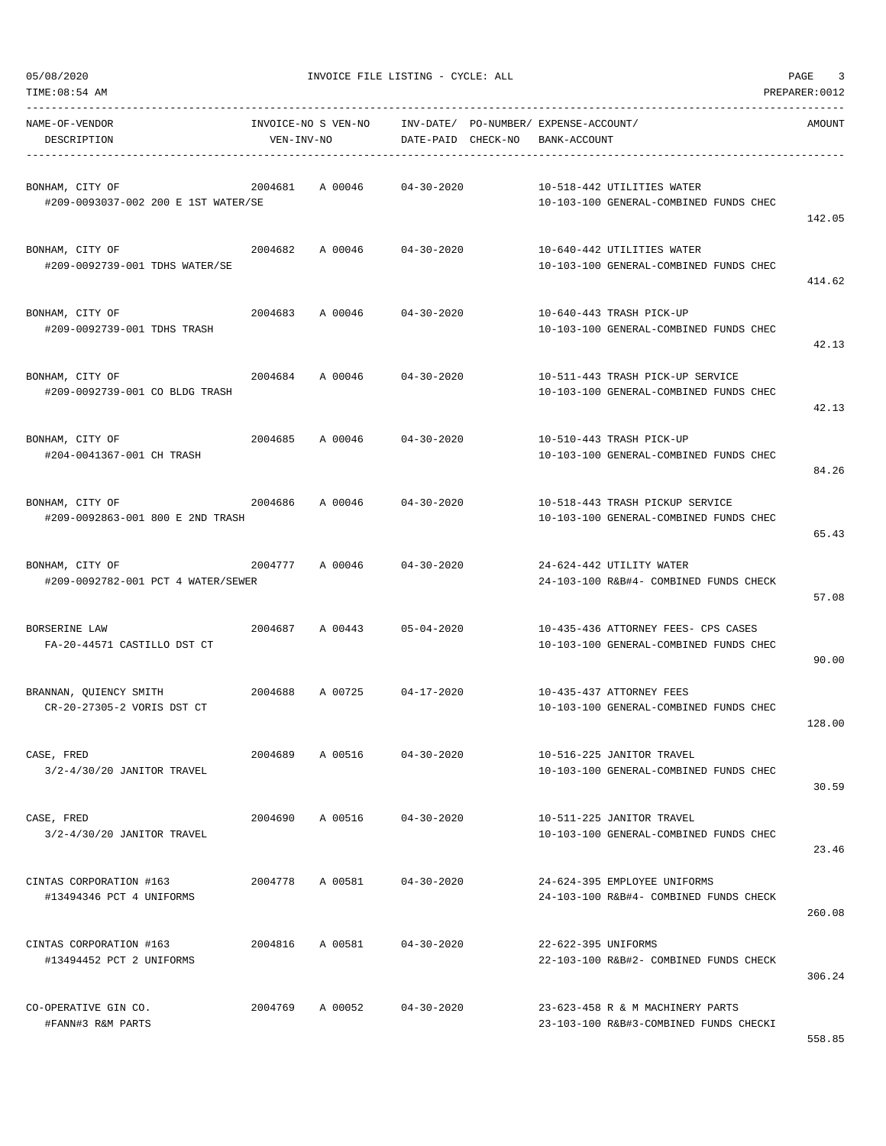| 5/08/2020 |  |
|-----------|--|

| 05/08/2020<br>TIME: 08:54 AM                          |                                   | INVOICE FILE LISTING - CYCLE: ALL |                                                             |                     |                                                                               | PAGE<br>3<br>PREPARER: 0012 |
|-------------------------------------------------------|-----------------------------------|-----------------------------------|-------------------------------------------------------------|---------------------|-------------------------------------------------------------------------------|-----------------------------|
| NAME-OF-VENDOR<br>DESCRIPTION                         | INVOICE-NO S VEN-NO<br>VEN-INV-NO |                                   | INV-DATE/ PO-NUMBER/ EXPENSE-ACCOUNT/<br>DATE-PAID CHECK-NO | BANK-ACCOUNT        |                                                                               | AMOUNT                      |
| BONHAM, CITY OF                                       | 2004681                           | A 00046                           | $04 - 30 - 2020$                                            |                     | 10-518-442 UTILITIES WATER                                                    |                             |
| #209-0093037-002 200 E 1ST WATER/SE                   |                                   |                                   |                                                             |                     | 10-103-100 GENERAL-COMBINED FUNDS CHEC                                        | 142.05                      |
| BONHAM, CITY OF<br>#209-0092739-001 TDHS WATER/SE     | 2004682                           | A 00046                           | $04 - 30 - 2020$                                            |                     | 10-640-442 UTILITIES WATER<br>10-103-100 GENERAL-COMBINED FUNDS CHEC          |                             |
| BONHAM, CITY OF                                       | 2004683                           | A 00046                           | $04 - 30 - 2020$                                            |                     | 10-640-443 TRASH PICK-UP                                                      | 414.62                      |
| #209-0092739-001 TDHS TRASH                           |                                   |                                   |                                                             |                     | 10-103-100 GENERAL-COMBINED FUNDS CHEC                                        | 42.13                       |
| BONHAM, CITY OF<br>#209-0092739-001 CO BLDG TRASH     | 2004684                           | A 00046                           | $04 - 30 - 2020$                                            |                     | 10-511-443 TRASH PICK-UP SERVICE<br>10-103-100 GENERAL-COMBINED FUNDS CHEC    |                             |
| BONHAM, CITY OF                                       | 2004685                           | A 00046                           | $04 - 30 - 2020$                                            |                     | 10-510-443 TRASH PICK-UP                                                      | 42.13                       |
| #204-0041367-001 CH TRASH                             |                                   |                                   |                                                             |                     | 10-103-100 GENERAL-COMBINED FUNDS CHEC                                        | 84.26                       |
| BONHAM, CITY OF<br>#209-0092863-001 800 E 2ND TRASH   | 2004686                           | A 00046                           | $04 - 30 - 2020$                                            |                     | 10-518-443 TRASH PICKUP SERVICE<br>10-103-100 GENERAL-COMBINED FUNDS CHEC     | 65.43                       |
| BONHAM, CITY OF<br>#209-0092782-001 PCT 4 WATER/SEWER | 2004777                           | A 00046                           | $04 - 30 - 2020$                                            |                     | 24-624-442 UTILITY WATER<br>24-103-100 R&B#4- COMBINED FUNDS CHECK            | 57.08                       |
| BORSERINE LAW<br>FA-20-44571 CASTILLO DST CT          | 2004687                           | A 00443                           | $05 - 04 - 2020$                                            |                     | 10-435-436 ATTORNEY FEES- CPS CASES<br>10-103-100 GENERAL-COMBINED FUNDS CHEC | 90.00                       |
| BRANNAN, OUIENCY SMITH<br>CR-20-27305-2 VORIS DST CT  | 2004688                           | A 00725                           | 04-17-2020                                                  |                     | 10-435-437 ATTORNEY FEES<br>10-103-100 GENERAL-COMBINED FUNDS CHEC            | 128.00                      |
| CASE, FRED<br>3/2-4/30/20 JANITOR TRAVEL              | 2004689                           | A 00516                           | $04 - 30 - 2020$                                            |                     | 10-516-225 JANITOR TRAVEL<br>10-103-100 GENERAL-COMBINED FUNDS CHEC           |                             |
| CASE, FRED<br>3/2-4/30/20 JANITOR TRAVEL              | 2004690                           | A 00516                           | $04 - 30 - 2020$                                            |                     | 10-511-225 JANITOR TRAVEL<br>10-103-100 GENERAL-COMBINED FUNDS CHEC           | 30.59                       |
| CINTAS CORPORATION #163<br>#13494346 PCT 4 UNIFORMS   | 2004778                           | A 00581                           | $04 - 30 - 2020$                                            |                     | 24-624-395 EMPLOYEE UNIFORMS<br>24-103-100 R&B#4- COMBINED FUNDS CHECK        | 23.46<br>260.08             |
| CINTAS CORPORATION #163<br>#13494452 PCT 2 UNIFORMS   | 2004816                           | A 00581                           | $04 - 30 - 2020$                                            | 22-622-395 UNIFORMS | 22-103-100 R&B#2- COMBINED FUNDS CHECK                                        | 306.24                      |
| CO-OPERATIVE GIN CO.<br>#FANN#3 R&M PARTS             | 2004769                           | A 00052                           | $04 - 30 - 2020$                                            |                     | 23-623-458 R & M MACHINERY PARTS<br>23-103-100 R&B#3-COMBINED FUNDS CHECKI    |                             |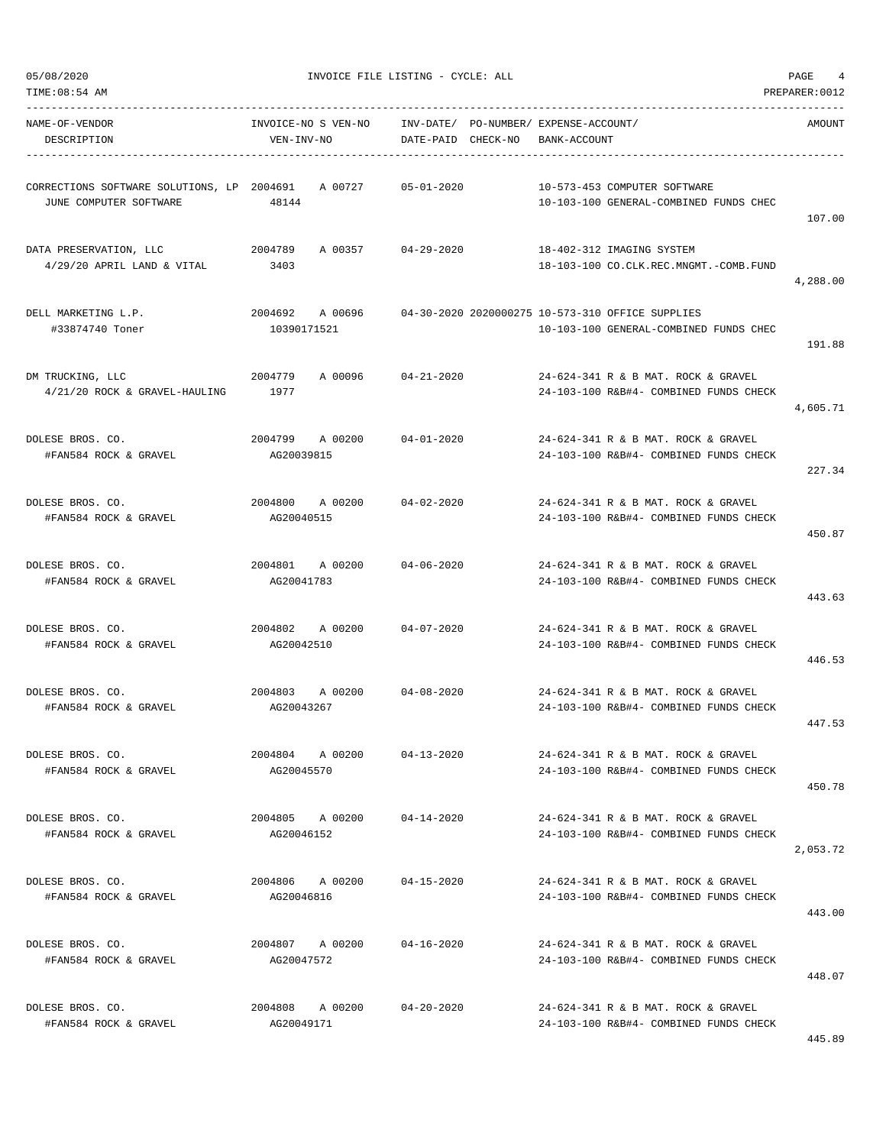| TIME:08:54 AM                                                        |                                       |                    |                                                                                            | PREPARER: 0012 |
|----------------------------------------------------------------------|---------------------------------------|--------------------|--------------------------------------------------------------------------------------------|----------------|
| NAME-OF-VENDOR                                                       | INVOICE-NO S VEN-NO                   |                    | INV-DATE/ PO-NUMBER/ EXPENSE-ACCOUNT/                                                      | AMOUNT         |
| DESCRIPTION                                                          | VEN-INV-NO                            | DATE-PAID CHECK-NO | BANK-ACCOUNT                                                                               |                |
| CORRECTIONS SOFTWARE SOLUTIONS, LP 2004691<br>JUNE COMPUTER SOFTWARE | A 00727<br>48144                      | $05 - 01 - 2020$   | 10-573-453 COMPUTER SOFTWARE<br>10-103-100 GENERAL-COMBINED FUNDS CHEC                     | 107.00         |
| DATA PRESERVATION, LLC<br>$4/29/20$ APRIL LAND & VITAL               | 2004789<br>A 00357 04-29-2020<br>3403 |                    | 18-402-312 IMAGING SYSTEM<br>18-103-100 CO.CLK.REC.MNGMT.-COMB.FUND                        | 4,288.00       |
| DELL MARKETING L.P.<br>#33874740 Toner                               | 2004692 A 00696<br>10390171521        |                    | 04-30-2020 2020000275 10-573-310 OFFICE SUPPLIES<br>10-103-100 GENERAL-COMBINED FUNDS CHEC | 191.88         |
| DM TRUCKING, LLC<br>4/21/20 ROCK & GRAVEL-HAULING                    | 2004779<br>A 00096<br>1977            | $04 - 21 - 2020$   | 24-624-341 R & B MAT. ROCK & GRAVEL<br>24-103-100 R&B#4- COMBINED FUNDS CHECK              | 4,605.71       |
| DOLESE BROS. CO.<br>#FAN584 ROCK & GRAVEL                            | 2004799<br>A 00200<br>AG20039815      | 04-01-2020         | 24-624-341 R & B MAT, ROCK & GRAVEL<br>24-103-100 R&B#4- COMBINED FUNDS CHECK              | 227.34         |
| DOLESE BROS. CO.<br>#FAN584 ROCK & GRAVEL                            | 2004800 A 00200<br>AG20040515         | 04-02-2020         | 24-624-341 R & B MAT, ROCK & GRAVEL<br>24-103-100 R&B#4- COMBINED FUNDS CHECK              | 450.87         |
| DOLESE BROS. CO.<br>#FAN584 ROCK & GRAVEL                            | 2004801 A 00200<br>AG20041783         | 04-06-2020         | 24-624-341 R & B MAT. ROCK & GRAVEL<br>24-103-100 R&B#4- COMBINED FUNDS CHECK              | 443.63         |
| DOLESE BROS. CO.<br>#FAN584 ROCK & GRAVEL                            | 2004802<br>A 00200<br>AG20042510      | 04-07-2020         | 24-624-341 R & B MAT. ROCK & GRAVEL<br>24-103-100 R&B#4- COMBINED FUNDS CHECK              | 446.53         |
| DOLESE BROS. CO.<br>#FAN584 ROCK & GRAVEL                            | 2004803<br>AG20043267                 | A 00200 04-08-2020 | 24-624-341 R & B MAT. ROCK & GRAVEL<br>24-103-100 R&B#4- COMBINED FUNDS CHECK              | 447.53         |
| DOLESE BROS. CO.<br>#FAN584 ROCK & GRAVEL                            | 2004804 A 00200<br>AG20045570         | $04 - 13 - 2020$   | 24-624-341 R & B MAT. ROCK & GRAVEL<br>24-103-100 R&B#4- COMBINED FUNDS CHECK              | 450.78         |
| DOLESE BROS. CO.<br>#FAN584 ROCK & GRAVEL                            | 2004805 A 00200<br>AG20046152         | 04-14-2020         | 24-624-341 R & B MAT. ROCK & GRAVEL<br>24-103-100 R&B#4- COMBINED FUNDS CHECK              | 2,053.72       |
| DOLESE BROS. CO.<br>#FAN584 ROCK & GRAVEL                            | 2004806 A 00200<br>AG20046816         | 04-15-2020         | 24-624-341 R & B MAT, ROCK & GRAVEL<br>24-103-100 R&B#4- COMBINED FUNDS CHECK              | 443.00         |
| DOLESE BROS. CO.<br>#FAN584 ROCK & GRAVEL                            | 2004807 A 00200<br>AG20047572         | 04-16-2020         | 24-624-341 R & B MAT. ROCK & GRAVEL<br>24-103-100 R&B#4- COMBINED FUNDS CHECK              | 448.07         |
| DOLESE BROS. CO.<br>#FAN584 ROCK & GRAVEL                            | 2004808 A 00200<br>AG20049171         | 04-20-2020         | 24-624-341 R & B MAT. ROCK & GRAVEL<br>24-103-100 R&B#4- COMBINED FUNDS CHECK              |                |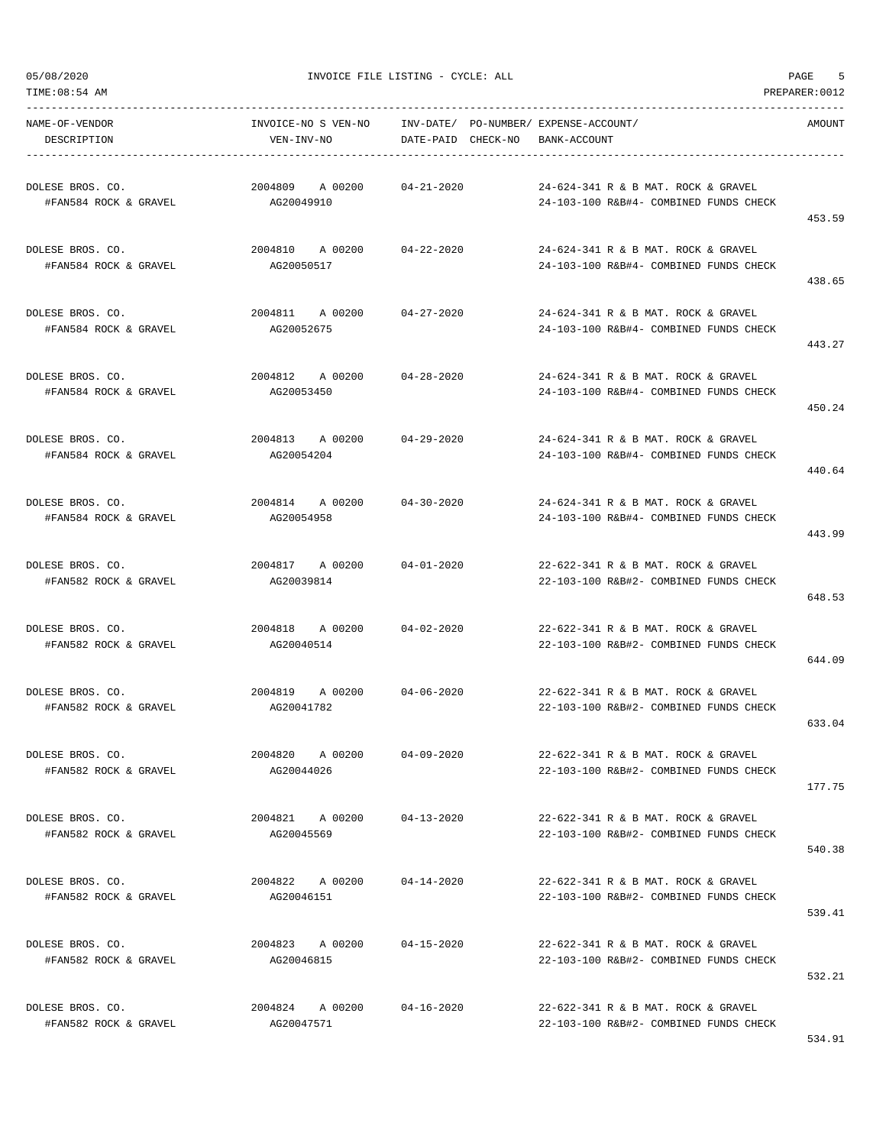TIME:08:54 AM PREPARER:0012

05/08/2020 INVOICE FILE LISTING - CYCLE: ALL PAGE 5

| NAME-OF-VENDOR<br>DESCRIPTION             | INVOICE-NO S VEN-NO<br>VEN-INV-NO        | INV-DATE/ PO-NUMBER/ EXPENSE-ACCOUNT/<br>DATE-PAID CHECK-NO | BANK-ACCOUNT                                                                  | AMOUNT |
|-------------------------------------------|------------------------------------------|-------------------------------------------------------------|-------------------------------------------------------------------------------|--------|
| DOLESE BROS. CO.<br>#FAN584 ROCK & GRAVEL | 2004809 A 00200<br>AG20049910            | $04 - 21 - 2020$                                            | 24-624-341 R & B MAT. ROCK & GRAVEL<br>24-103-100 R&B#4- COMBINED FUNDS CHECK | 453.59 |
| DOLESE BROS. CO.<br>#FAN584 ROCK & GRAVEL | 2004810 A 00200 04-22-2020<br>AG20050517 |                                                             | 24-624-341 R & B MAT, ROCK & GRAVEL<br>24-103-100 R&B#4- COMBINED FUNDS CHECK | 438.65 |
| DOLESE BROS. CO.<br>#FAN584 ROCK & GRAVEL | 2004811 A 00200<br>AG20052675            | $04 - 27 - 2020$                                            | 24-624-341 R & B MAT. ROCK & GRAVEL<br>24-103-100 R&B#4- COMBINED FUNDS CHECK | 443.27 |
| DOLESE BROS. CO.<br>#FAN584 ROCK & GRAVEL | 2004812 A 00200<br>AG20053450            | 04-28-2020                                                  | 24-624-341 R & B MAT. ROCK & GRAVEL<br>24-103-100 R&B#4- COMBINED FUNDS CHECK | 450.24 |
| DOLESE BROS. CO.<br>#FAN584 ROCK & GRAVEL | 2004813 A 00200<br>AG20054204            | 04-29-2020                                                  | 24-624-341 R & B MAT. ROCK & GRAVEL<br>24-103-100 R&B#4- COMBINED FUNDS CHECK | 440.64 |
| DOLESE BROS. CO.<br>#FAN584 ROCK & GRAVEL | 2004814 A 00200<br>AG20054958            | $04 - 30 - 2020$                                            | 24-624-341 R & B MAT, ROCK & GRAVEL<br>24-103-100 R&B#4- COMBINED FUNDS CHECK | 443.99 |
| DOLESE BROS. CO.<br>#FAN582 ROCK & GRAVEL | 2004817 A 00200<br>AG20039814            | $04 - 01 - 2020$                                            | 22-622-341 R & B MAT. ROCK & GRAVEL<br>22-103-100 R&B#2- COMBINED FUNDS CHECK | 648.53 |
| DOLESE BROS. CO.<br>#FAN582 ROCK & GRAVEL | 2004818 A 00200<br>AG20040514            | 04-02-2020                                                  | 22-622-341 R & B MAT. ROCK & GRAVEL<br>22-103-100 R&B#2- COMBINED FUNDS CHECK | 644.09 |
| DOLESE BROS. CO.<br>#FAN582 ROCK & GRAVEL | 2004819 A 00200 04-06-2020<br>AG20041782 |                                                             | 22-622-341 R & B MAT. ROCK & GRAVEL<br>22-103-100 R&B#2- COMBINED FUNDS CHECK | 633.04 |
| DOLESE BROS. CO.<br>#FAN582 ROCK & GRAVEL | 2004820 A 00200<br>AG20044026            | $04 - 09 - 2020$                                            | 22-622-341 R & B MAT. ROCK & GRAVEL<br>22-103-100 R&B#2- COMBINED FUNDS CHECK | 177.75 |
| DOLESE BROS. CO.<br>#FAN582 ROCK & GRAVEL | 2004821 A 00200<br>AG20045569            | $04 - 13 - 2020$                                            | 22-622-341 R & B MAT. ROCK & GRAVEL<br>22-103-100 R&B#2- COMBINED FUNDS CHECK | 540.38 |
| DOLESE BROS. CO.<br>#FAN582 ROCK & GRAVEL | 2004822 A 00200<br>AG20046151            | $04 - 14 - 2020$                                            | 22-622-341 R & B MAT. ROCK & GRAVEL<br>22-103-100 R&B#2- COMBINED FUNDS CHECK | 539.41 |
| DOLESE BROS. CO.<br>#FAN582 ROCK & GRAVEL | 2004823 A 00200<br>AG20046815            | $04 - 15 - 2020$                                            | 22-622-341 R & B MAT. ROCK & GRAVEL<br>22-103-100 R&B#2- COMBINED FUNDS CHECK | 532.21 |
| DOLESE BROS. CO.<br>#FAN582 ROCK & GRAVEL | 2004824 A 00200<br>AG20047571            | $04 - 16 - 2020$                                            | 22-622-341 R & B MAT. ROCK & GRAVEL<br>22-103-100 R&B#2- COMBINED FUNDS CHECK |        |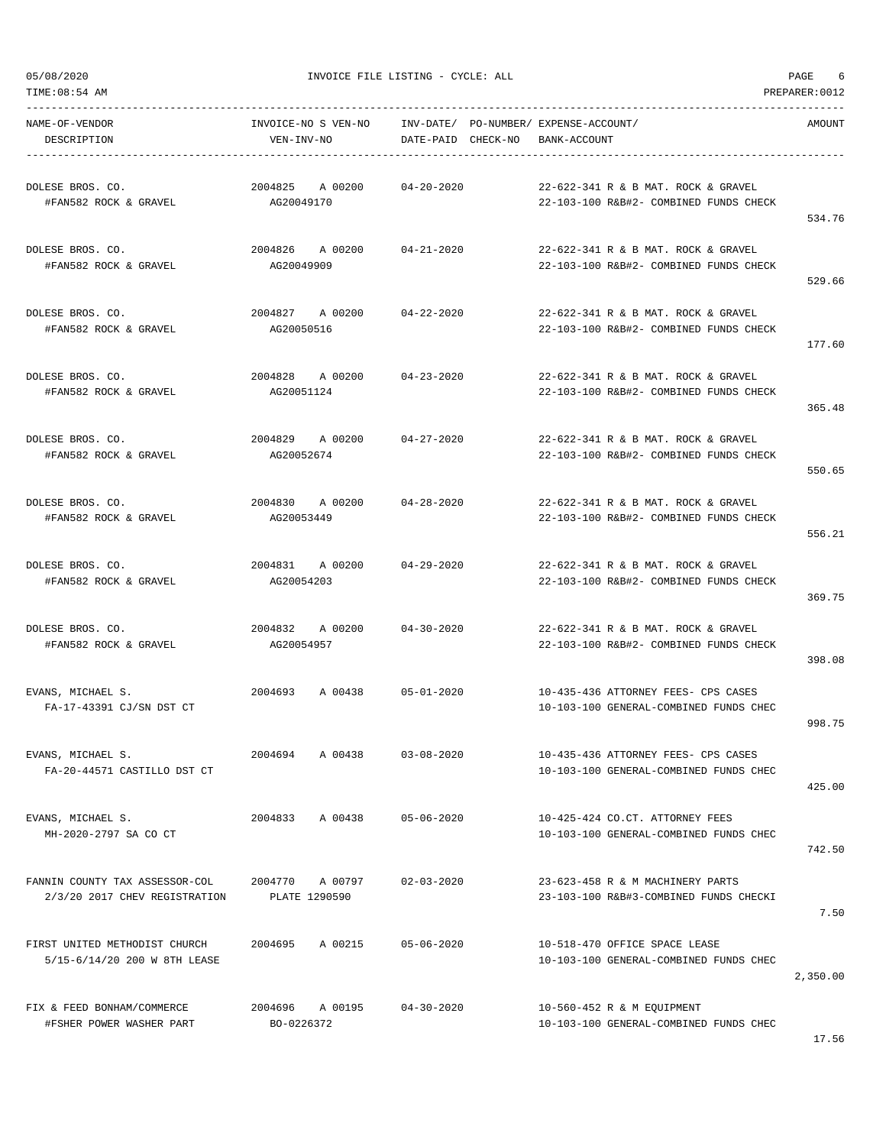TIME:08:54 AM PREPARER:0012

05/08/2020 INVOICE FILE LISTING - CYCLE: ALL PAGE 6

----------------------------------------------------------------------------------------------------------------------------------- NAME-OF-VENDOR INVOICE-NO S VEN-NO INV-DATE/ PO-NUMBER/ EXPENSE-ACCOUNT/ AMOUNT DESCRIPTION VEN-INV-NO DATE-PAID CHECK-NO BANK-ACCOUNT ----------------------------------------------------------------------------------------------------------------------------------- DOLESE BROS. CO. 2004825 A 00200 04-20-2020 22-622-341 R & B MAT. ROCK & GRAVEL #FAN582 ROCK & GRAVEL AG20049170 22-103-100 R&B#2- COMBINED FUNDS CHECK 534.76 DOLESE BROS. CO. 2004826 A 00200 04-21-2020 22-622-341 R & B MAT. ROCK & GRAVEL #FAN582 ROCK & GRAVEL AG20049909 22-103-100 R&B#2- COMBINED FUNDS CHECK 529.66 DOLESE BROS. CO. 2004827 A 00200 04-22-2020 22-622-341 R & B MAT. ROCK & GRAVEL #FAN582 ROCK & GRAVEL AG20050516 22-103-100 R&B#2- COMBINED FUNDS CHECK 177.60 DOLESE BROS. CO. 2004828 A 00200 04-23-2020 22-622-341 R & B MAT. ROCK & GRAVEL #FAN582 ROCK & GRAVEL AG20051124 22-103-100 R&B#2- COMBINED FUNDS CHECK 365.48 DOLESE BROS. CO. 2004829 A 00200 04-27-2020 22-622-341 R & B MAT. ROCK & GRAVEL #FAN582 ROCK & GRAVEL AG20052674 22-103-100 R&B#2- COMBINED FUNDS CHECK 550.65 DOLESE BROS. CO. 2004830 A 00200 04-28-2020 22-622-341 R & B MAT. ROCK & GRAVEL #FAN582 ROCK & GRAVEL AG20053449 22-103-100 R&B#2- COMBINED FUNDS CHECK 556.21 DOLESE BROS. CO. 2004831 A 00200 04-29-2020 22-622-341 R & B MAT. ROCK & GRAVEL #FAN582 ROCK & GRAVEL AG20054203 22-103-100 R&B#2- COMBINED FUNDS CHECK 369.75 DOLESE BROS. CO. 2004832 A 00200 04-30-2020 22-622-341 R & B MAT. ROCK & GRAVEL #FAN582 ROCK & GRAVEL AG20054957 22-103-100 R&B#2- COMBINED FUNDS CHECK 398.08 EVANS, MICHAEL S. 2004693 A 00438 05-01-2020 10-435-436 ATTORNEY FEES- CPS CASES FA-17-43391 CJ/SN DST CT 10-103-100 GENERAL-COMBINED FUNDS CHEC 998.75 EVANS, MICHAEL S. 2004694 A 00438 03-08-2020 10-435-436 ATTORNEY FEES- CPS CASES FA-20-44571 CASTILLO DST CT 10-103-100 GENERAL-COMBINED FUNDS CHEC 425.00 EVANS, MICHAEL S. 2004833 A 00438 05-06-2020 10-425-424 CO.CT. ATTORNEY FEES MH-2020-2797 SA CO CT 10-103-100 GENERAL-COMBINED FUNDS CHEC 742.50 FANNIN COUNTY TAX ASSESSOR-COL 2004770 A 00797 02-03-2020 23-623-458 R & M MACHINERY PARTS 2/3/20 2017 CHEV REGISTRATION PLATE 1290590 23-103-100 R&B#3-COMBINED FUNDS CHECKI 7.50 FIRST UNITED METHODIST CHURCH 2004695 A 00215 05-06-2020 10-518-470 OFFICE SPACE LEASE 5/15-6/14/20 200 W 8TH LEASE 10-103-100 GENERAL-COMBINED FUNDS CHEC 2,350.00 FIX & FEED BONHAM/COMMERCE 2004696 A 00195 04-30-2020 10-560-452 R & M EQUIPMENT #FSHER POWER WASHER PART BO-0226372 10-103-100 GENERAL-COMBINED FUNDS CHEC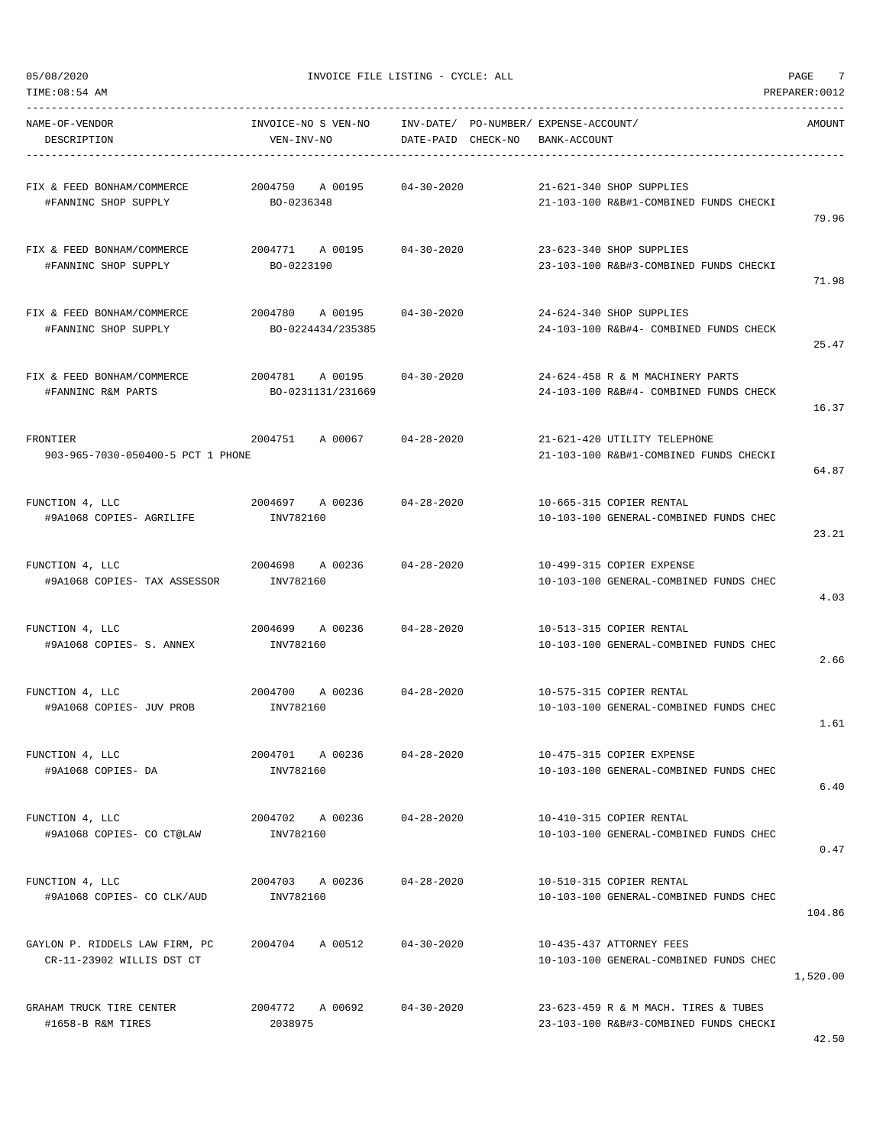TIME:08:54 AM PREPARER:0012

05/08/2020 INVOICE FILE LISTING - CYCLE: ALL PAGE 7

| NAME-OF-VENDOR<br>DESCRIPTION                                                   | INVOICE-NO S VEN-NO INV-DATE/ PO-NUMBER/ EXPENSE-ACCOUNT/<br>VEN-INV-NO | DATE-PAID CHECK-NO BANK-ACCOUNT |                                                                                | AMOUNT   |
|---------------------------------------------------------------------------------|-------------------------------------------------------------------------|---------------------------------|--------------------------------------------------------------------------------|----------|
| FIX & FEED BONHAM/COMMERCE $2004750$ A 00195 04-30-2020<br>#FANNINC SHOP SUPPLY | BO-0236348                                                              |                                 | 21-621-340 SHOP SUPPLIES<br>21-103-100 R&B#1-COMBINED FUNDS CHECKI             | 79.96    |
| FIX & FEED BONHAM/COMMERCE<br>#FANNINC SHOP SUPPLY                              | 2004771 A 00195 04-30-2020<br>BO-0223190                                |                                 | 23-623-340 SHOP SUPPLIES<br>23-103-100 R&B#3-COMBINED FUNDS CHECKI             |          |
| FIX & FEED BONHAM/COMMERCE<br>#FANNINC SHOP SUPPLY                              | 2004780 A 00195 04-30-2020<br>BO-0224434/235385                         |                                 | 24-624-340 SHOP SUPPLIES<br>24-103-100 R&B#4- COMBINED FUNDS CHECK             | 71.98    |
| FIX & FEED BONHAM/COMMERCE $2004781$ A 00195 04-30-2020<br>#FANNINC R&M PARTS   | BO-0231131/231669                                                       |                                 | 24-624-458 R & M MACHINERY PARTS<br>24-103-100 R&B#4- COMBINED FUNDS CHECK     | 25.47    |
| FRONTIER                                                                        | $2004751$ A 00067 04-28-2020                                            |                                 | 21-621-420 UTILITY TELEPHONE                                                   | 16.37    |
| 903-965-7030-050400-5 PCT 1 PHONE                                               |                                                                         |                                 | 21-103-100 R&B#1-COMBINED FUNDS CHECKI                                         | 64.87    |
| FUNCTION 4, LLC<br>#9A1068 COPIES- AGRILIFE                                     | 2004697 A 00236 04-28-2020<br>INV782160                                 |                                 | 10-665-315 COPIER RENTAL<br>10-103-100 GENERAL-COMBINED FUNDS CHEC             | 23.21    |
| FUNCTION 4, LLC<br>#9A1068 COPIES- TAX ASSESSOR                                 | 2004698 A 00236 04-28-2020<br>INV782160                                 |                                 | 10-499-315 COPIER EXPENSE<br>10-103-100 GENERAL-COMBINED FUNDS CHEC            | 4.03     |
| FUNCTION 4, LLC<br>#9A1068 COPIES- S. ANNEX 1NV782160                           | 2004699 A 00236 04-28-2020                                              |                                 | 10-513-315 COPIER RENTAL<br>10-103-100 GENERAL-COMBINED FUNDS CHEC             | 2.66     |
| FUNCTION 4, LLC<br>#9A1068 COPIES- JUV PROB                                     | 2004700 A 00236 04-28-2020<br>INV782160                                 |                                 | 10-575-315 COPIER RENTAL<br>10-103-100 GENERAL-COMBINED FUNDS CHEC             | 1.61     |
| FUNCTION 4, LLC<br>#9A1068 COPIES- DA                                           | 2004701 A 00236<br>INV782160                                            | $04 - 28 - 2020$                | 10-475-315 COPIER EXPENSE<br>10-103-100 GENERAL-COMBINED FUNDS CHEC            | 6.40     |
| FUNCTION 4, LLC<br>#9A1068 COPIES- CO CT@LAW                                    | 2004702 A 00236 04-28-2020<br>INV782160                                 |                                 | 10-410-315 COPIER RENTAL<br>10-103-100 GENERAL-COMBINED FUNDS CHEC             | 0.47     |
| FUNCTION 4, LLC<br>#9A1068 COPIES- CO CLK/AUD                                   | 2004703 A 00236<br>INV782160                                            | $04 - 28 - 2020$                | 10-510-315 COPIER RENTAL<br>10-103-100 GENERAL-COMBINED FUNDS CHEC             | 104.86   |
| GAYLON P. RIDDELS LAW FIRM, PC 2004704 A 00512<br>CR-11-23902 WILLIS DST CT     |                                                                         | $04 - 30 - 2020$                | 10-435-437 ATTORNEY FEES<br>10-103-100 GENERAL-COMBINED FUNDS CHEC             | 1,520.00 |
| GRAHAM TRUCK TIRE CENTER<br>#1658-B R&M TIRES                                   | 2004772 A 00692 04-30-2020<br>2038975                                   |                                 | 23-623-459 R & M MACH. TIRES & TUBES<br>23-103-100 R&B#3-COMBINED FUNDS CHECKI |          |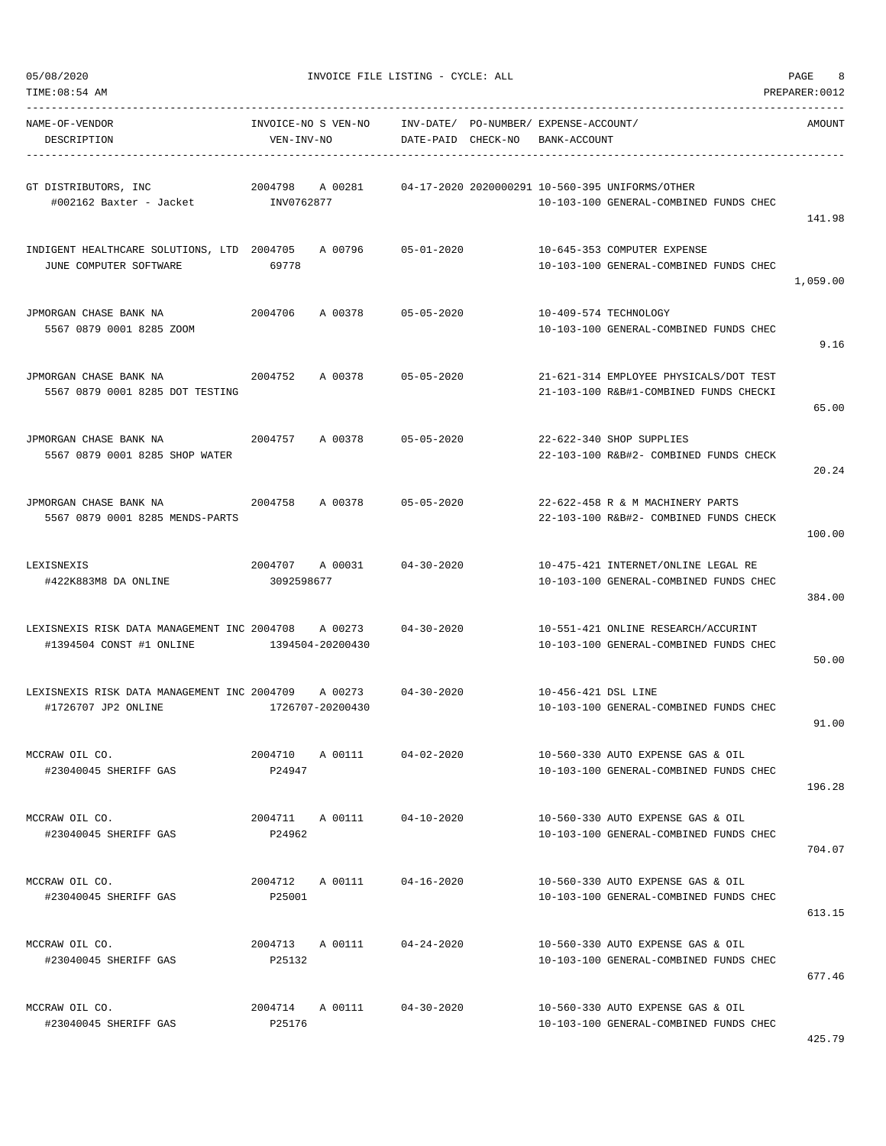|  | 05/08/2020 |  |
|--|------------|--|
|  |            |  |

INVOICE FILE LISTING - CYCLE: ALL PAGE 8

| TIME:08:54 AM                                                                   |                                   |                    |                                                                                           | PREPARER: 0012 |
|---------------------------------------------------------------------------------|-----------------------------------|--------------------|-------------------------------------------------------------------------------------------|----------------|
| NAME-OF-VENDOR<br>DESCRIPTION                                                   | INVOICE-NO S VEN-NO<br>VEN-INV-NO | DATE-PAID CHECK-NO | INV-DATE/ PO-NUMBER/ EXPENSE-ACCOUNT/<br>BANK-ACCOUNT                                     | AMOUNT         |
| GT DISTRIBUTORS, INC<br>#002162 Baxter - Jacket MV0762877                       | 2004798<br>A 00281                |                    | 04-17-2020 2020000291 10-560-395 UNIFORMS/OTHER<br>10-103-100 GENERAL-COMBINED FUNDS CHEC | 141.98         |
| INDIGENT HEALTHCARE SOLUTIONS, LTD 2004705<br>JUNE COMPUTER SOFTWARE            | A 00796<br>69778                  | $05 - 01 - 2020$   | 10-645-353 COMPUTER EXPENSE<br>10-103-100 GENERAL-COMBINED FUNDS CHEC                     | 1,059.00       |
| JPMORGAN CHASE BANK NA<br>5567 0879 0001 8285 ZOOM                              | 2004706<br>A 00378                | $05 - 05 - 2020$   | 10-409-574 TECHNOLOGY<br>10-103-100 GENERAL-COMBINED FUNDS CHEC                           | 9.16           |
| JPMORGAN CHASE BANK NA<br>5567 0879 0001 8285 DOT TESTING                       | 2004752<br>A 00378                | $05 - 05 - 2020$   | 21-621-314 EMPLOYEE PHYSICALS/DOT TEST<br>21-103-100 R&B#1-COMBINED FUNDS CHECKI          | 65.00          |
| JPMORGAN CHASE BANK NA<br>5567 0879 0001 8285 SHOP WATER                        | 2004757<br>A 00378                | $05 - 05 - 2020$   | 22-622-340 SHOP SUPPLIES<br>22-103-100 R&B#2- COMBINED FUNDS CHECK                        | 20.24          |
| JPMORGAN CHASE BANK NA<br>5567 0879 0001 8285 MENDS-PARTS                       | 2004758<br>A 00378                | $05 - 05 - 2020$   | 22-622-458 R & M MACHINERY PARTS<br>22-103-100 R&B#2- COMBINED FUNDS CHECK                | 100.00         |
| LEXISNEXIS<br>#422K883M8 DA ONLINE                                              | 2004707 A 00031<br>3092598677     | 04-30-2020         | 10-475-421 INTERNET/ONLINE LEGAL RE<br>10-103-100 GENERAL-COMBINED FUNDS CHEC             | 384.00         |
| LEXISNEXIS RISK DATA MANAGEMENT INC 2004708 A 00273<br>#1394504 CONST #1 ONLINE | 1394504-20200430                  | $04 - 30 - 2020$   | 10-551-421 ONLINE RESEARCH/ACCURINT<br>10-103-100 GENERAL-COMBINED FUNDS CHEC             | 50.00          |
| LEXISNEXIS RISK DATA MANAGEMENT INC 2004709<br>#1726707 JP2 ONLINE              | A 00273<br>1726707-20200430       | $04 - 30 - 2020$   | 10-456-421 DSL LINE<br>10-103-100 GENERAL-COMBINED FUNDS CHEC                             | 91.00          |
| MCCRAW OIL CO.<br>#23040045 SHERIFF GAS                                         | 2004710 A 00111<br>P24947         | $04 - 02 - 2020$   | 10-560-330 AUTO EXPENSE GAS & OIL<br>10-103-100 GENERAL-COMBINED FUNDS CHEC               | 196.28         |
| MCCRAW OIL CO.<br>#23040045 SHERIFF GAS                                         | 2004711 A 00111<br>P24962         | $04 - 10 - 2020$   | 10-560-330 AUTO EXPENSE GAS & OIL<br>10-103-100 GENERAL-COMBINED FUNDS CHEC               | 704.07         |
| MCCRAW OIL CO.<br>#23040045 SHERIFF GAS                                         | 2004712 A 00111<br>P25001         | $04 - 16 - 2020$   | 10-560-330 AUTO EXPENSE GAS & OIL<br>10-103-100 GENERAL-COMBINED FUNDS CHEC               | 613.15         |
| MCCRAW OIL CO.<br>#23040045 SHERIFF GAS                                         | 2004713 A 00111<br>P25132         | $04 - 24 - 2020$   | 10-560-330 AUTO EXPENSE GAS & OIL<br>10-103-100 GENERAL-COMBINED FUNDS CHEC               | 677.46         |
| MCCRAW OIL CO.<br>#23040045 SHERIFF GAS                                         | 2004714 A 00111<br>P25176         | $04 - 30 - 2020$   | 10-560-330 AUTO EXPENSE GAS & OIL<br>10-103-100 GENERAL-COMBINED FUNDS CHEC               |                |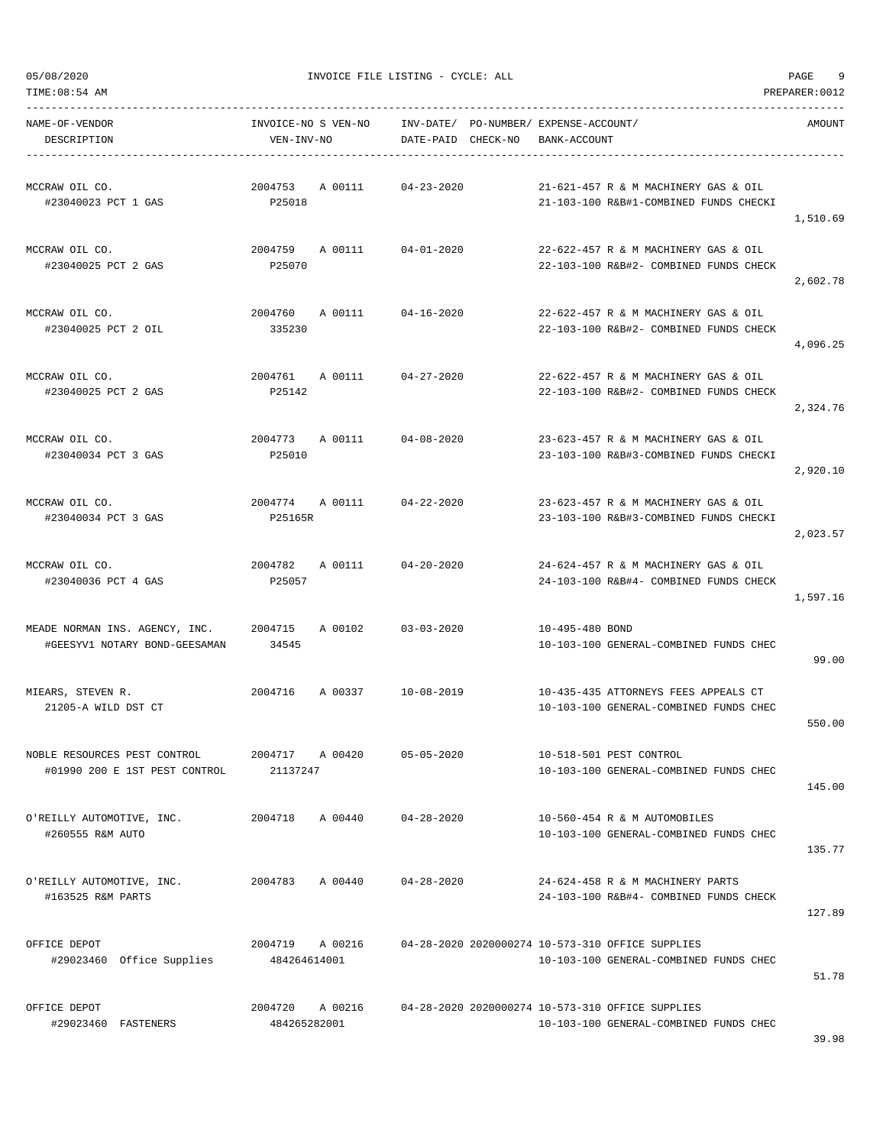TIME:08:54 AM PREPARER:0012 -----------------------------------------------------------------------------------------------------------------------------------

NAME-OF-VENDOR INVOICE-NO S VEN-NO INV-DATE/ PO-NUMBER/ EXPENSE-ACCOUNT/ AMOUNT DESCRIPTION VEN-INV-NO DATE-PAID CHECK-NO BANK-ACCOUNT ----------------------------------------------------------------------------------------------------------------------------------- MCCRAW OIL CO. 2004753 A 00111 04-23-2020 21-621-457 R & M MACHINERY GAS & OIL #23040023 PCT 1 GAS P25018 21-103-100 R&B#1-COMBINED FUNDS CHECKI 1,510.69 MCCRAW OIL CO. 2004759 A 00111 04-01-2020 22-622-457 R & M MACHINERY GAS & OIL #23040025 PCT 2 GAS P25070 22-103-100 R&B#2- COMBINED FUNDS CHECK 2,602.78 MCCRAW OIL CO. 2004760 A 00111 04-16-2020 22-622-457 R & M MACHINERY GAS & OIL #23040025 PCT 2 OIL 335230 22-103-100 R&B#2- COMBINED FUNDS CHECK 4,096.25 MCCRAW OIL CO. 2004761 A 00111 04-27-2020 22-622-457 R & M MACHINERY GAS & OIL #23040025 PCT 2 GAS P25142 22-103-100 R&B#2- COMBINED FUNDS CHECK 2,324.76 MCCRAW OIL CO. 2004773 A 00111 04-08-2020 23-623-457 R & M MACHINERY GAS & OIL #23040034 PCT 3 GAS P25010 23-103-100 R&B#3-COMBINED FUNDS CHECKI 2,920.10 MCCRAW OIL CO. 2004774 A 00111 04-22-2020 23-623-457 R & M MACHINERY GAS & OIL #23040034 PCT 3 GAS P25165R 23-103-100 R&B#3-COMBINED FUNDS CHECKI 2,023.57 MCCRAW OIL CO. 2004782 A 00111 04-20-2020 24-624-457 R & M MACHINERY GAS & OIL #23040036 PCT 4 GAS P25057 24-103-100 R&B#4- COMBINED FUNDS CHECK 1,597.16 MEADE NORMAN INS. AGENCY, INC. 2004715 A 00102 03-03-2020 10-495-480 BOND #GEESYV1 NOTARY BOND-GEESAMAN 34545 10-103-100 GENERAL-COMBINED FUNDS CHEC 99.00 MIEARS, STEVEN R. 2004716 A 00337 10-08-2019 10-435-435 ATTORNEYS FEES APPEALS CT 21205-A WILD DST CT 10-103-100 GENERAL-COMBINED FUNDS CHEC 550.00 NOBLE RESOURCES PEST CONTROL 2004717 A 00420 05-05-2020 10-518-501 PEST CONTROL #01990 200 E 1ST PEST CONTROL 21137247 10-103-100 GENERAL-COMBINED FUNDS CHEC 145.00 O'REILLY AUTOMOTIVE, INC. 2004718 A 00440 04-28-2020 10-560-454 R & M AUTOMOBILES #260555 R&M AUTO 10-103-100 GENERAL-COMBINED FUNDS CHEC 135.77 O'REILLY AUTOMOTIVE, INC. 2004783 A 00440 04-28-2020 24-624-458 R & M MACHINERY PARTS #163525 R&M PARTS 24-103-100 R&B#4- COMBINED FUNDS CHECK 127.89 OFFICE DEPOT 2004719 A 00216 04-28-2020 2020000274 10-573-310 OFFICE SUPPLIES #29023460 Office Supplies 484264614001 10-103-100 GENERAL-COMBINED FUNDS CHEC 51.78 OFFICE DEPOT 2004720 A 00216 04-28-2020 2020000274 10-573-310 OFFICE SUPPLIES #29023460 FASTENERS 484265282001 10-103-100 GENERAL-COMBINED FUNDS CHEC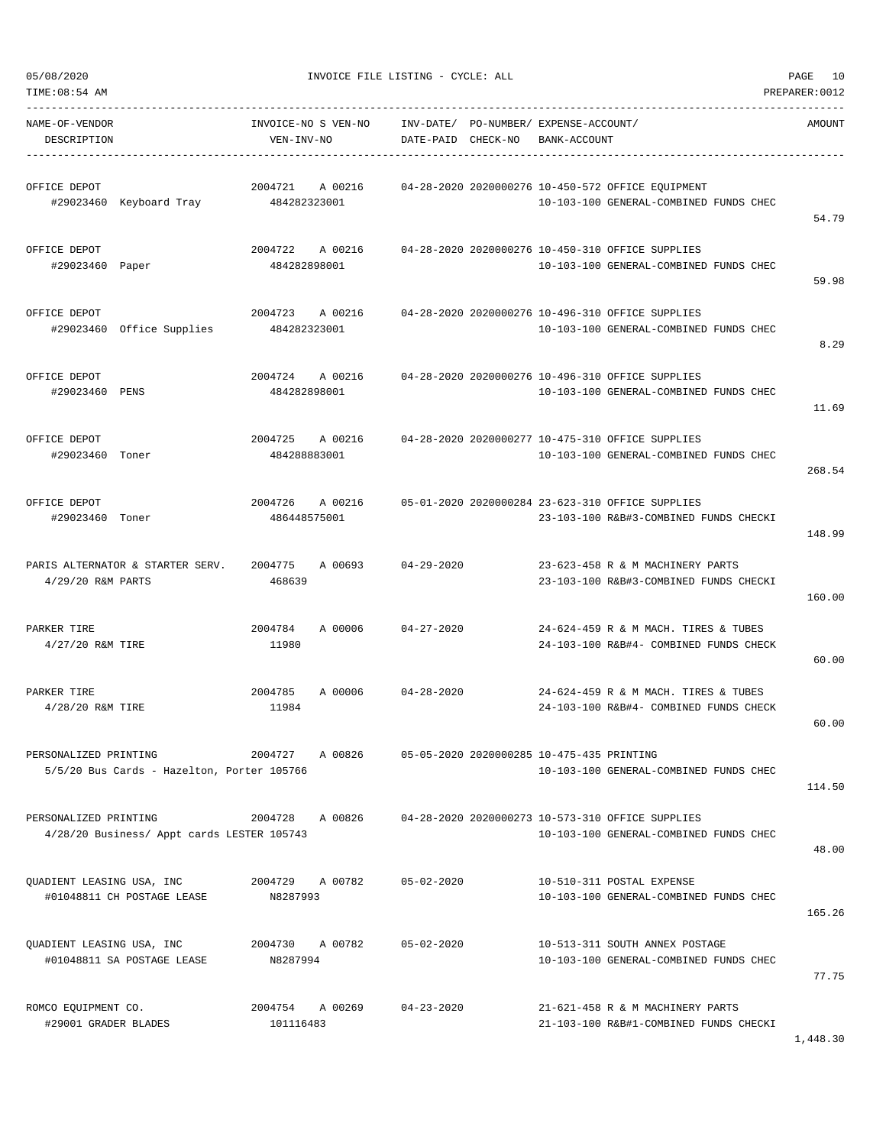| 05/08/2020<br>TIME: 08:54 AM                                        |                                    | INVOICE FILE LISTING - CYCLE: ALL                           |                                                                                             | 10<br>PAGE<br>PREPARER: 0012 |
|---------------------------------------------------------------------|------------------------------------|-------------------------------------------------------------|---------------------------------------------------------------------------------------------|------------------------------|
| NAME-OF-VENDOR<br>DESCRIPTION                                       | INVOICE-NO S VEN-NO<br>VEN-INV-NO  | INV-DATE/ PO-NUMBER/ EXPENSE-ACCOUNT/<br>DATE-PAID CHECK-NO | BANK-ACCOUNT                                                                                | AMOUNT                       |
| OFFICE DEPOT<br>#29023460 Keyboard Tray                             | 2004721<br>A 00216<br>484282323001 |                                                             | 04-28-2020 2020000276 10-450-572 OFFICE EQUIPMENT<br>10-103-100 GENERAL-COMBINED FUNDS CHEC | 54.79                        |
| OFFICE DEPOT<br>#29023460 Paper                                     | 2004722<br>A 00216<br>484282898001 |                                                             | 04-28-2020 2020000276 10-450-310 OFFICE SUPPLIES<br>10-103-100 GENERAL-COMBINED FUNDS CHEC  | 59.98                        |
| OFFICE DEPOT<br>#29023460 Office Supplies                           | 2004723<br>A 00216<br>484282323001 |                                                             | 04-28-2020 2020000276 10-496-310 OFFICE SUPPLIES<br>10-103-100 GENERAL-COMBINED FUNDS CHEC  | 8.29                         |
| OFFICE DEPOT<br>#29023460 PENS                                      | 2004724<br>A 00216<br>484282898001 |                                                             | 04-28-2020 2020000276 10-496-310 OFFICE SUPPLIES<br>10-103-100 GENERAL-COMBINED FUNDS CHEC  | 11.69                        |
| OFFICE DEPOT<br>#29023460 Toner                                     | 2004725<br>A 00216<br>484288883001 |                                                             | 04-28-2020 2020000277 10-475-310 OFFICE SUPPLIES<br>10-103-100 GENERAL-COMBINED FUNDS CHEC  | 268.54                       |
| OFFICE DEPOT<br>#29023460 Toner                                     | 2004726<br>A 00216<br>486448575001 |                                                             | 05-01-2020 2020000284 23-623-310 OFFICE SUPPLIES<br>23-103-100 R&B#3-COMBINED FUNDS CHECKI  | 148.99                       |
| PARIS ALTERNATOR & STARTER SERV.<br>4/29/20 R&M PARTS               | 2004775<br>A 00693<br>468639       | $04 - 29 - 2020$                                            | 23-623-458 R & M MACHINERY PARTS<br>23-103-100 R&B#3-COMBINED FUNDS CHECKI                  | 160.00                       |
| PARKER TIRE<br>4/27/20 R&M TIRE                                     | 2004784<br>A 00006<br>11980        | $04 - 27 - 2020$                                            | 24-624-459 R & M MACH. TIRES & TUBES<br>24-103-100 R&B#4- COMBINED FUNDS CHECK              | 60.00                        |
| PARKER TIRE<br>4/28/20 R&M TIRE                                     | 2004785<br>A 00006<br>11984        | $04 - 28 - 2020$                                            | 24-624-459 R & M MACH. TIRES & TUBES<br>24-103-100 R&B#4- COMBINED FUNDS CHECK              | 60.00                        |
| PERSONALIZED PRINTING<br>5/5/20 Bus Cards - Hazelton, Porter 105766 | 2004727<br>A 00826                 | 05-05-2020 2020000285 10-475-435 PRINTING                   | 10-103-100 GENERAL-COMBINED FUNDS CHEC                                                      | 114.50                       |
| PERSONALIZED PRINTING<br>4/28/20 Business/ Appt cards LESTER 105743 | A 00826<br>2004728                 |                                                             | 04-28-2020 2020000273 10-573-310 OFFICE SUPPLIES<br>10-103-100 GENERAL-COMBINED FUNDS CHEC  | 48.00                        |
| QUADIENT LEASING USA, INC<br>#01048811 CH POSTAGE LEASE             | 2004729 A 00782<br>N8287993        | $05 - 02 - 2020$                                            | 10-510-311 POSTAL EXPENSE<br>10-103-100 GENERAL-COMBINED FUNDS CHEC                         | 165.26                       |
| QUADIENT LEASING USA, INC<br>#01048811 SA POSTAGE LEASE             | 2004730<br>A 00782<br>N8287994     | $05 - 02 - 2020$                                            | 10-513-311 SOUTH ANNEX POSTAGE<br>10-103-100 GENERAL-COMBINED FUNDS CHEC                    | 77.75                        |
| ROMCO EQUIPMENT CO.<br>#29001 GRADER BLADES                         | 2004754<br>A 00269<br>101116483    | $04 - 23 - 2020$                                            | 21-621-458 R & M MACHINERY PARTS<br>21-103-100 R&B#1-COMBINED FUNDS CHECKI                  |                              |

1,448.30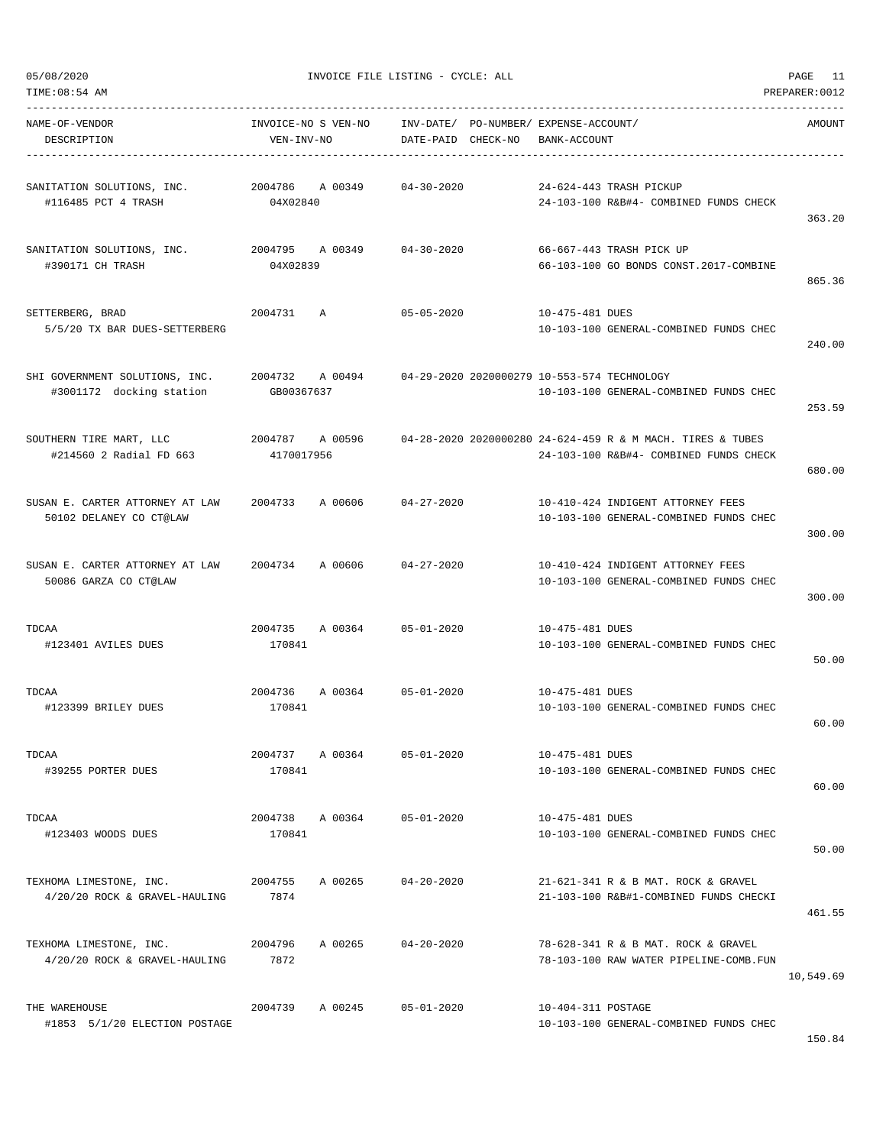|  | 05/08/2020 |  |
|--|------------|--|
|  |            |  |
|  |            |  |

| TIME: 08:54 AM                                             |                                   |                                 |                                                                                                      | PREPARER: 0012 |
|------------------------------------------------------------|-----------------------------------|---------------------------------|------------------------------------------------------------------------------------------------------|----------------|
| NAME-OF-VENDOR<br>DESCRIPTION                              | INVOICE-NO S VEN-NO<br>VEN-INV-NO | INV-DATE/<br>DATE-PAID CHECK-NO | PO-NUMBER/ EXPENSE-ACCOUNT/<br>BANK-ACCOUNT                                                          | AMOUNT         |
| SANITATION SOLUTIONS, INC.<br>#116485 PCT 4 TRASH          | 2004786<br>A 00349<br>04X02840    | $04 - 30 - 2020$                | 24-624-443 TRASH PICKUP<br>24-103-100 R&B#4- COMBINED FUNDS CHECK                                    | 363.20         |
| SANITATION SOLUTIONS, INC.<br>#390171 CH TRASH             | 2004795<br>A 00349<br>04X02839    | $04 - 30 - 2020$                | 66-667-443 TRASH PICK UP<br>66-103-100 GO BONDS CONST.2017-COMBINE                                   | 865.36         |
| SETTERBERG, BRAD<br>5/5/20 TX BAR DUES-SETTERBERG          | 2004731<br>Α                      | $05 - 05 - 2020$                | 10-475-481 DUES<br>10-103-100 GENERAL-COMBINED FUNDS CHEC                                            | 240.00         |
| SHI GOVERNMENT SOLUTIONS, INC.<br>#3001172 docking station | 2004732 A 00494<br>GB00367637     |                                 | 04-29-2020 2020000279 10-553-574 TECHNOLOGY<br>10-103-100 GENERAL-COMBINED FUNDS CHEC                | 253.59         |
| SOUTHERN TIRE MART, LLC<br>#214560 2 Radial FD 663         | 2004787<br>A 00596<br>4170017956  |                                 | 04-28-2020 2020000280 24-624-459 R & M MACH. TIRES & TUBES<br>24-103-100 R&B#4- COMBINED FUNDS CHECK | 680.00         |
| SUSAN E. CARTER ATTORNEY AT LAW<br>50102 DELANEY CO CT@LAW | 2004733<br>A 00606                | $04 - 27 - 2020$                | 10-410-424 INDIGENT ATTORNEY FEES<br>10-103-100 GENERAL-COMBINED FUNDS CHEC                          | 300.00         |
| SUSAN E. CARTER ATTORNEY AT LAW<br>50086 GARZA CO CT@LAW   | 2004734<br>A 00606                | $04 - 27 - 2020$                | 10-410-424 INDIGENT ATTORNEY FEES<br>10-103-100 GENERAL-COMBINED FUNDS CHEC                          | 300.00         |
| TDCAA<br>#123401 AVILES DUES                               | 2004735<br>A 00364<br>170841      | $05 - 01 - 2020$                | 10-475-481 DUES<br>10-103-100 GENERAL-COMBINED FUNDS CHEC                                            | 50.00          |
| TDCAA<br>#123399 BRILEY DUES                               | 2004736<br>A 00364<br>170841      | $05 - 01 - 2020$                | 10-475-481 DUES<br>10-103-100 GENERAL-COMBINED FUNDS CHEC                                            | 60.00          |
| TDCAA<br>#39255 PORTER DUES                                | 2004737 A 00364<br>170841         | $05 - 01 - 2020$                | 10-475-481 DUES<br>10-103-100 GENERAL-COMBINED FUNDS CHEC                                            | 60.00          |
| TDCAA<br>#123403 WOODS DUES                                | 2004738 A 00364<br>170841         | $05 - 01 - 2020$                | 10-475-481 DUES<br>10-103-100 GENERAL-COMBINED FUNDS CHEC                                            | 50.00          |
| TEXHOMA LIMESTONE, INC.<br>4/20/20 ROCK & GRAVEL-HAULING   | 2004755<br>A 00265<br>7874        | $04 - 20 - 2020$                | 21-621-341 R & B MAT. ROCK & GRAVEL<br>21-103-100 R&B#1-COMBINED FUNDS CHECKI                        | 461.55         |
| TEXHOMA LIMESTONE, INC.<br>4/20/20 ROCK & GRAVEL-HAULING   | 2004796<br>A 00265<br>7872        | $04 - 20 - 2020$                | 78-628-341 R & B MAT. ROCK & GRAVEL<br>78-103-100 RAW WATER PIPELINE-COMB.FUN                        | 10,549.69      |
| THE WAREHOUSE<br>#1853 5/1/20 ELECTION POSTAGE             | 2004739<br>A 00245                | $05 - 01 - 2020$                | 10-404-311 POSTAGE<br>10-103-100 GENERAL-COMBINED FUNDS CHEC                                         |                |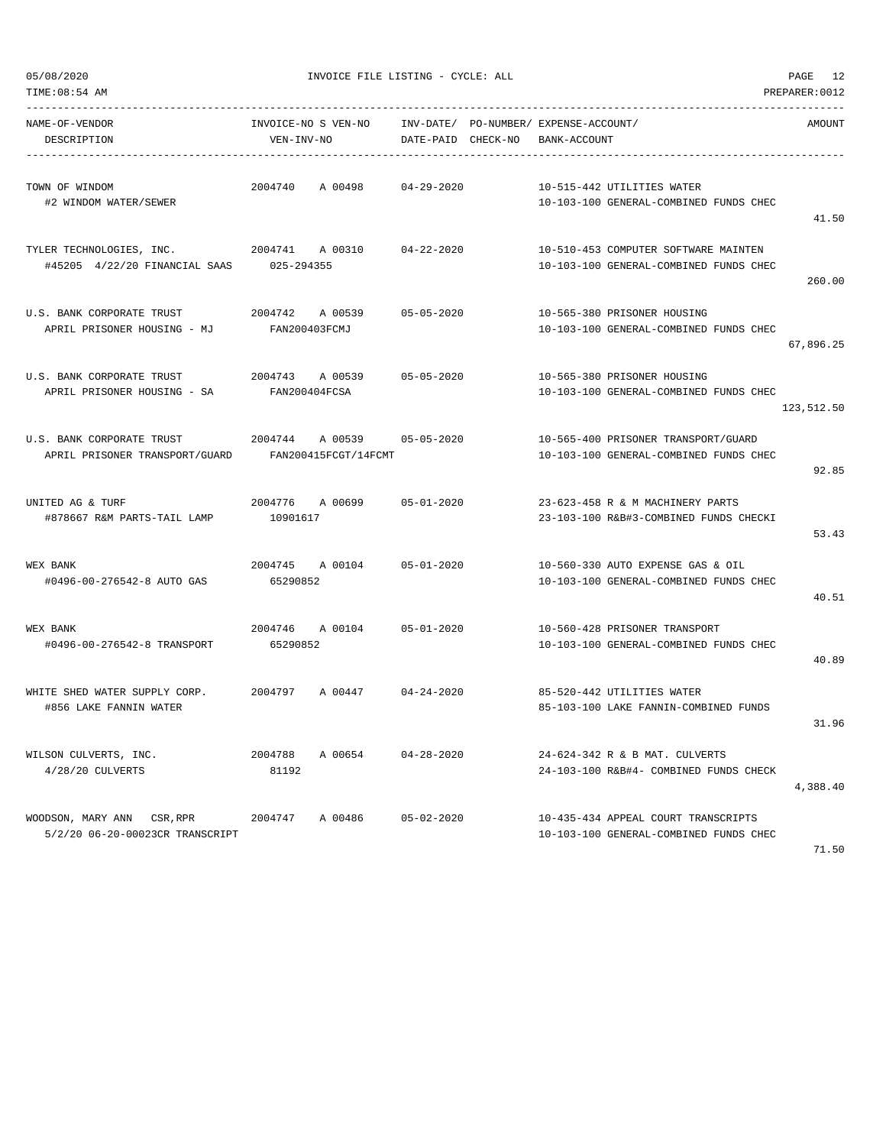| TIME: 08:54 AM<br>PREPARER: 0012                              |                                            |                    |  |                                                                                |               |  |
|---------------------------------------------------------------|--------------------------------------------|--------------------|--|--------------------------------------------------------------------------------|---------------|--|
| NAME-OF-VENDOR<br>DESCRIPTION                                 | INVOICE-NO S VEN-NO<br>VEN-INV-NO          | DATE-PAID CHECK-NO |  | INV-DATE/ PO-NUMBER/ EXPENSE-ACCOUNT/<br>BANK-ACCOUNT                          | <b>AMOUNT</b> |  |
| TOWN OF WINDOM<br>#2 WINDOM WATER/SEWER                       | 2004740<br>A 00498                         | $04 - 29 - 2020$   |  | 10-515-442 UTILITIES WATER<br>10-103-100 GENERAL-COMBINED FUNDS CHEC           | 41.50         |  |
| TYLER TECHNOLOGIES, INC.<br>#45205 4/22/20 FINANCIAL SAAS     | 2004741<br>A 00310<br>025-294355           | $04 - 22 - 2020$   |  | 10-510-453 COMPUTER SOFTWARE MAINTEN<br>10-103-100 GENERAL-COMBINED FUNDS CHEC | 260.00        |  |
| U.S. BANK CORPORATE TRUST<br>APRIL PRISONER HOUSING - MJ      | 2004742<br>A 00539<br>FAN200403FCMJ        | $05 - 05 - 2020$   |  | 10-565-380 PRISONER HOUSING<br>10-103-100 GENERAL-COMBINED FUNDS CHEC          | 67,896.25     |  |
| U.S. BANK CORPORATE TRUST<br>APRIL PRISONER HOUSING - SA      | 2004743<br>A 00539<br>FAN200404FCSA        | $05 - 05 - 2020$   |  | 10-565-380 PRISONER HOUSING<br>10-103-100 GENERAL-COMBINED FUNDS CHEC          | 123,512.50    |  |
| U.S. BANK CORPORATE TRUST<br>APRIL PRISONER TRANSPORT/GUARD   | 2004744<br>A 00539<br>FAN200415FCGT/14FCMT | $05 - 05 - 2020$   |  | 10-565-400 PRISONER TRANSPORT/GUARD<br>10-103-100 GENERAL-COMBINED FUNDS CHEC  | 92.85         |  |
| UNITED AG & TURF<br>#878667 R&M PARTS-TAIL LAMP               | 2004776<br>A 00699<br>10901617             | $05 - 01 - 2020$   |  | 23-623-458 R & M MACHINERY PARTS<br>23-103-100 R&B#3-COMBINED FUNDS CHECKI     | 53.43         |  |
| WEX BANK<br>#0496-00-276542-8 AUTO GAS                        | 2004745<br>A 00104<br>65290852             | $05 - 01 - 2020$   |  | 10-560-330 AUTO EXPENSE GAS & OIL<br>10-103-100 GENERAL-COMBINED FUNDS CHEC    | 40.51         |  |
| WEX BANK<br>#0496-00-276542-8 TRANSPORT                       | 2004746<br>A 00104<br>65290852             | $05 - 01 - 2020$   |  | 10-560-428 PRISONER TRANSPORT<br>10-103-100 GENERAL-COMBINED FUNDS CHEC        | 40.89         |  |
| WHITE SHED WATER SUPPLY CORP.<br>#856 LAKE FANNIN WATER       | 2004797<br>A 00447                         | $04 - 24 - 2020$   |  | 85-520-442 UTILITIES WATER<br>85-103-100 LAKE FANNIN-COMBINED FUNDS            | 31.96         |  |
| WILSON CULVERTS, INC.<br>$4/28/20$ CULVERTS                   | 2004788<br>A 00654<br>81192                | $04 - 28 - 2020$   |  | 24-624-342 R & B MAT. CULVERTS<br>24-103-100 R&B#4- COMBINED FUNDS CHECK       | 4,388.40      |  |
| WOODSON, MARY ANN CSR, RPR<br>5/2/20 06-20-00023CR TRANSCRIPT | 2004747<br>A 00486                         | $05 - 02 - 2020$   |  | 10-435-434 APPEAL COURT TRANSCRIPTS<br>10-103-100 GENERAL-COMBINED FUNDS CHEC  |               |  |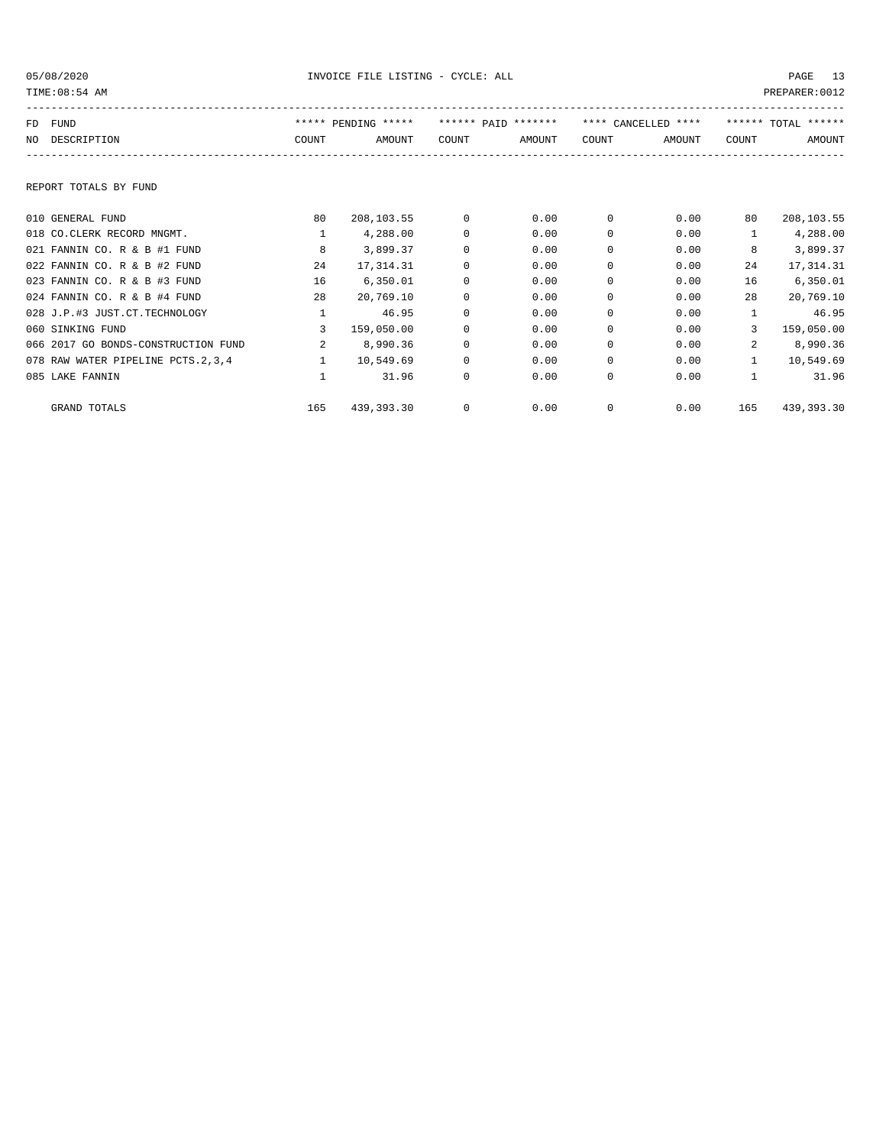| TIME: 08:54 AM<br>PREPARER: 0012 |                                      |              |                     |             |                     |          |                     |                |                     |
|----------------------------------|--------------------------------------|--------------|---------------------|-------------|---------------------|----------|---------------------|----------------|---------------------|
| FD.                              | FUND                                 |              | ***** PENDING ***** |             | ****** PAID ******* |          | **** CANCELLED **** |                | ****** TOTAL ****** |
| NO.                              | DESCRIPTION                          | COUNT        | AMOUNT              | COUNT       | AMOUNT              | COUNT    | AMOUNT              | <b>COUNT</b>   | AMOUNT              |
|                                  |                                      |              |                     |             |                     |          |                     |                |                     |
|                                  | REPORT TOTALS BY FUND                |              |                     |             |                     |          |                     |                |                     |
|                                  | 010 GENERAL FUND                     | 80           | 208,103.55          | $\Omega$    | 0.00                | $\Omega$ | 0.00                | 80             | 208,103.55          |
|                                  | 018 CO.CLERK RECORD MNGMT.           | $\mathbf{1}$ | 4,288.00            | 0           | 0.00                | 0        | 0.00                |                | 4,288.00            |
|                                  | 021 FANNIN CO. R & B #1 FUND         | 8            | 3,899.37            | $\Omega$    | 0.00                | $\Omega$ | 0.00                | 8              | 3,899.37            |
|                                  | 022 FANNIN CO. R & B #2 FUND         | 24           | 17,314.31           | $\Omega$    | 0.00                | $\Omega$ | 0.00                | 24             | 17,314.31           |
|                                  | 023 FANNIN CO. R & B #3 FUND         | 16           | 6,350.01            | $\Omega$    | 0.00                | $\Omega$ | 0.00                | 16             | 6,350.01            |
|                                  | 024 FANNIN CO. R & B #4 FUND         | 28           | 20,769.10           | $\Omega$    | 0.00                | $\Omega$ | 0.00                | 28             | 20,769.10           |
|                                  | 028 J.P.#3 JUST.CT.TECHNOLOGY        | $\mathbf{1}$ | 46.95               | 0           | 0.00                | 0        | 0.00                | $\mathbf{1}$   | 46.95               |
|                                  | 060 SINKING FUND                     | 3            | 159,050.00          | $\Omega$    | 0.00                | $\Omega$ | 0.00                | 3              | 159,050.00          |
|                                  | 066 2017 GO BONDS-CONSTRUCTION FUND  | $\mathbf{2}$ | 8,990.36            | $\Omega$    | 0.00                | $\Omega$ | 0.00                | $\overline{a}$ | 8,990.36            |
|                                  | 078 RAW WATER PIPELINE PCTS. 2, 3, 4 | $\mathbf{1}$ | 10,549.69           | $\Omega$    | 0.00                | $\Omega$ | 0.00                | $\mathbf{1}$   | 10,549.69           |
|                                  | 085 LAKE FANNIN                      |              | 31.96               | 0           | 0.00                | 0        | 0.00                | 1              | 31.96               |
|                                  | <b>GRAND TOTALS</b>                  | 165          | 439,393.30          | $\mathbf 0$ | 0.00                | 0        | 0.00                | 165            | 439,393.30          |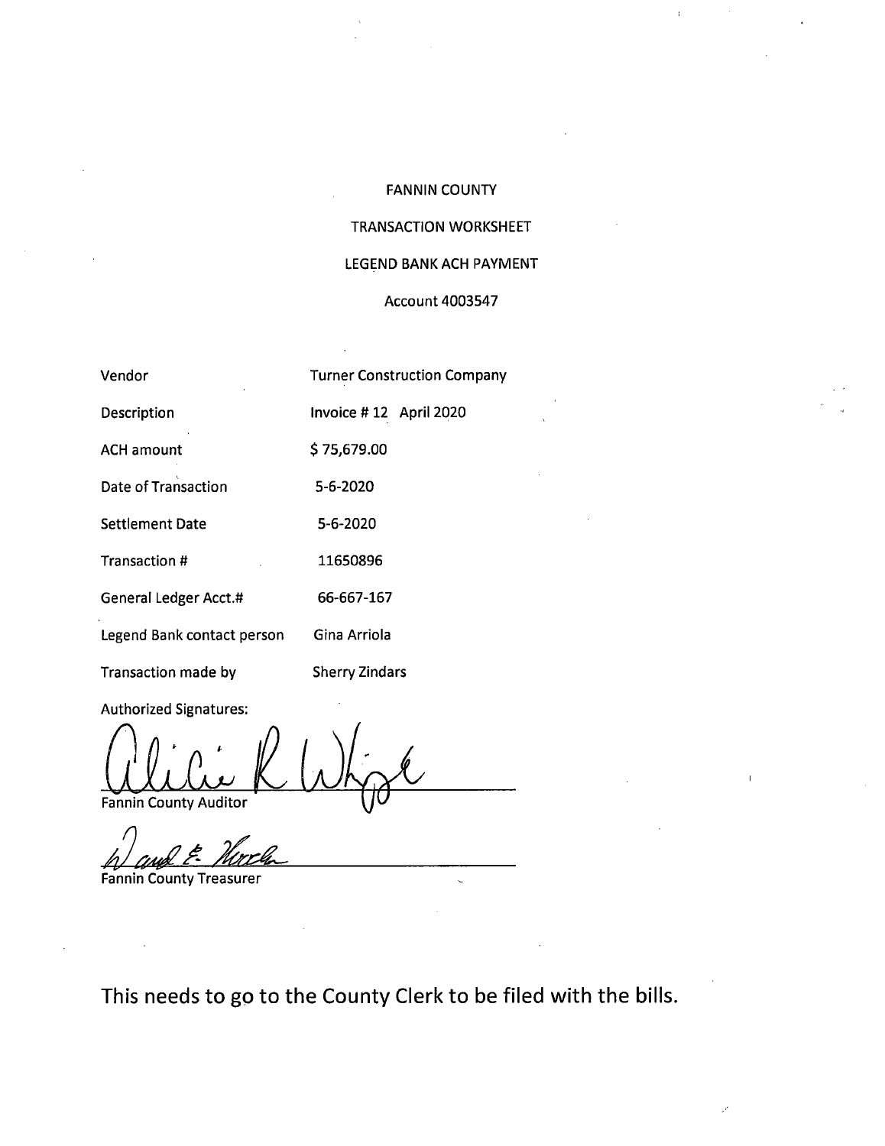### **FANNIN COUNTY**

 $\bar{1}$ 

# **TRANSACTION WORKSHEET**

### LEGEND BANK ACH PAYMENT

#### **Account 4003547**

| Vendor                     | <b>Turner Construction Company</b> |
|----------------------------|------------------------------------|
| Description                | Invoice #12 April 2020             |
| <b>ACH amount</b>          | \$75,679.00                        |
| Date of Transaction        | 5-6-2020                           |
| <b>Settlement Date</b>     | 5-6-2020                           |
| Transaction #              | 11650896                           |
| General Ledger Acct.#      | 66-667-167                         |
| Legend Bank contact person | Gina Arriola                       |
|                            |                                    |

**Authorized Signatures:** 

Transaction made by

Fannin County Auditor

**Sherry Zindars** 

**Fannin County Treasurer** 

This needs to go to the County Clerk to be filed with the bills.